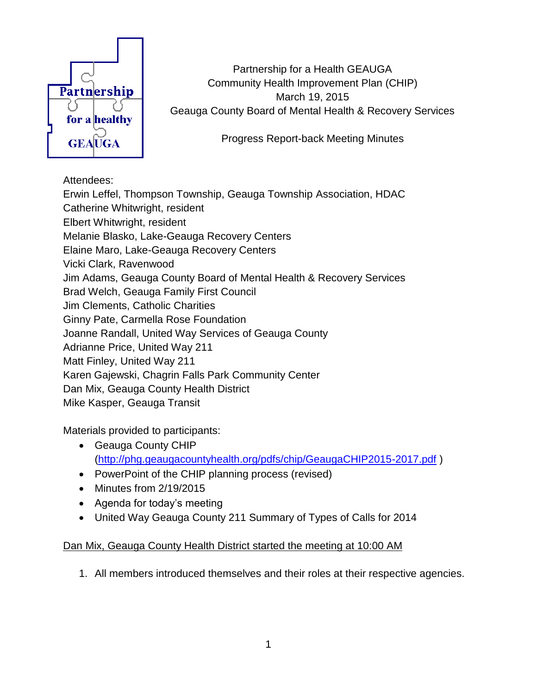

Partnership for a Health GEAUGA Community Health Improvement Plan (CHIP) March 19, 2015 Geauga County Board of Mental Health & Recovery Services

Progress Report-back Meeting Minutes

## Attendees:

Erwin Leffel, Thompson Township, Geauga Township Association, HDAC Catherine Whitwright, resident Elbert Whitwright, resident Melanie Blasko, Lake-Geauga Recovery Centers Elaine Maro, Lake-Geauga Recovery Centers Vicki Clark, Ravenwood Jim Adams, Geauga County Board of Mental Health & Recovery Services Brad Welch, Geauga Family First Council Jim Clements, Catholic Charities Ginny Pate, Carmella Rose Foundation Joanne Randall, United Way Services of Geauga County Adrianne Price, United Way 211 Matt Finley, United Way 211 Karen Gajewski, Chagrin Falls Park Community Center Dan Mix, Geauga County Health District Mike Kasper, Geauga Transit

Materials provided to participants:

- Geauga County CHIP [\(http://phg.geaugacountyhealth.org/pdfs/chip/GeaugaCHIP2015-2017.pdf](http://phg.geaugacountyhealth.org/pdfs/chip/GeaugaCHIP2015-2017.pdf) )
- PowerPoint of the CHIP planning process (revised)
- Minutes from 2/19/2015
- Agenda for today's meeting
- United Way Geauga County 211 Summary of Types of Calls for 2014

## Dan Mix, Geauga County Health District started the meeting at 10:00 AM

1. All members introduced themselves and their roles at their respective agencies.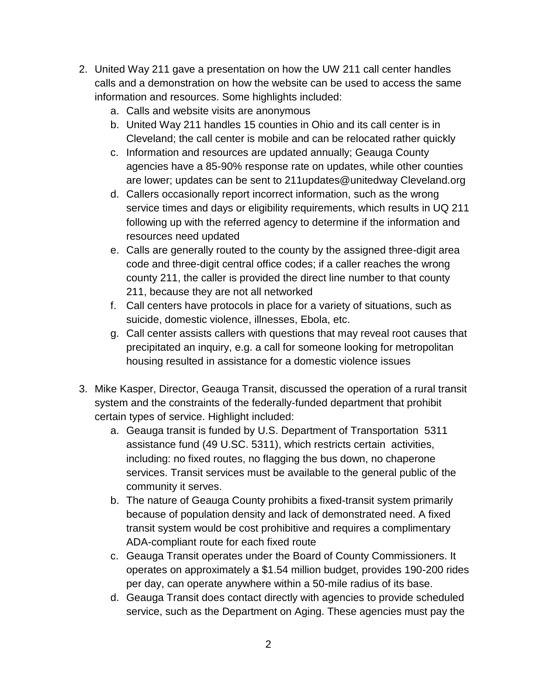- 2. United Way 211 gave a presentation on how the UW 211 call center handles calls and a demonstration on how the website can be used to access the same information and resources. Some highlights included:
	- a. Calls and website visits are anonymous
	- b. United Way 211 handles 15 counties in Ohio and its call center is in Cleveland; the call center is mobile and can be relocated rather quickly
	- c. Information and resources are updated annually; Geauga County agencies have a 85-90% response rate on updates, while other counties are lower; updates can be sent to 211updates@unitedway Cleveland.org
	- d. Callers occasionally report incorrect information, such as the wrong service times and days or eligibility requirements, which results in UQ 211 following up with the referred agency to determine if the information and resources need updated
	- e. Calls are generally routed to the county by the assigned three-digit area code and three-digit central office codes; if a caller reaches the wrong county 211, the caller is provided the direct line number to that county 211, because they are not all networked
	- f. Call centers have protocols in place for a variety of situations, such as suicide, domestic violence, illnesses, Ebola, etc.
	- g. Call center assists callers with questions that may reveal root causes that precipitated an inquiry, e.g. a call for someone looking for metropolitan housing resulted in assistance for a domestic violence issues
- 3. Mike Kasper, Director, Geauga Transit, discussed the operation of a rural transit system and the constraints of the federally-funded department that prohibit certain types of service. Highlight included:
	- a. Geauga transit is funded by U.S. Department of Transportation 5311 assistance fund (49 U.SC. 5311), which restricts certain activities, including: no fixed routes, no flagging the bus down, no chaperone services. Transit services must be available to the general public of the community it serves.
	- b. The nature of Geauga County prohibits a fixed-transit system primarily because of population density and lack of demonstrated need. A fixed transit system would be cost prohibitive and requires a complimentary ADA-compliant route for each fixed route
	- c. Geauga Transit operates under the Board of County Commissioners. It operates on approximately a \$1.54 million budget, provides 190-200 rides per day, can operate anywhere within a 50-mile radius of its base.
	- d. Geauga Transit does contact directly with agencies to provide scheduled service, such as the Department on Aging. These agencies must pay the